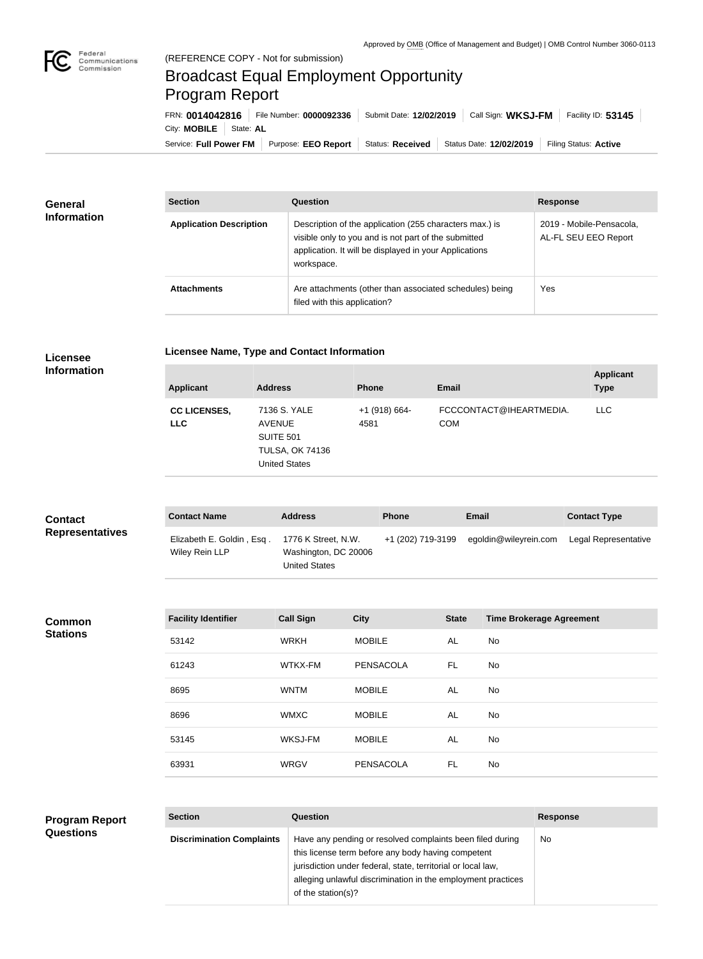# Broadcast Equal Employment Opportunity Program Report

Service: Full Power FM Purpose: EEO Report | Status: Received | Status Date: 12/02/2019 | Filing Status: Active City: **MOBILE** | State: AL FRN: **0014042816** File Number: **0000092336** Submit Date: **12/02/2019** Call Sign: **WKSJ-FM** Facility ID: **53145**

| <b>General</b>     | <b>Section</b>                 | Question                                                                                                                                                                                | <b>Response</b>                                  |
|--------------------|--------------------------------|-----------------------------------------------------------------------------------------------------------------------------------------------------------------------------------------|--------------------------------------------------|
| <b>Information</b> | <b>Application Description</b> | Description of the application (255 characters max.) is<br>visible only to you and is not part of the submitted<br>application. It will be displayed in your Applications<br>workspace. | 2019 - Mobile-Pensacola.<br>AL-FL SEU EEO Report |
|                    | <b>Attachments</b>             | Are attachments (other than associated schedules) being<br>filed with this application?                                                                                                 | Yes                                              |

## **Licensee**

**Licensee Name, Type and Contact Information**

#### **Information**

| <b>Applicant</b>                  | <b>Address</b>                                                                                      | <b>Phone</b>            | <b>Email</b>                          | <b>Applicant</b><br><b>Type</b> |
|-----------------------------------|-----------------------------------------------------------------------------------------------------|-------------------------|---------------------------------------|---------------------------------|
| <b>CC LICENSES,</b><br><b>LLC</b> | 7136 S. YALE<br><b>AVENUE</b><br><b>SUITE 501</b><br><b>TULSA, OK 74136</b><br><b>United States</b> | $+1$ (918) 664-<br>4581 | FCCCONTACT@IHEARTMEDIA.<br><b>COM</b> | <b>LLC</b>                      |

| <b>Contact</b><br><b>Representatives</b> | <b>Contact Name</b>                         | <b>Address</b>                                                      | <b>Phone</b>      | <b>Email</b>          | <b>Contact Type</b>  |
|------------------------------------------|---------------------------------------------|---------------------------------------------------------------------|-------------------|-----------------------|----------------------|
|                                          | Elizabeth E. Goldin, Esq.<br>Wiley Rein LLP | 1776 K Street, N.W.<br>Washington, DC 20006<br><b>United States</b> | +1 (202) 719-3199 | egoldin@wileyrein.com | Legal Representative |

#### **Common Stations**

| <b>Facility Identifier</b> | <b>Call Sign</b> | <b>City</b>      | <b>State</b> | <b>Time Brokerage Agreement</b> |
|----------------------------|------------------|------------------|--------------|---------------------------------|
| 53142                      | <b>WRKH</b>      | <b>MOBILE</b>    | AL           | No                              |
| 61243                      | WTKX-FM          | <b>PENSACOLA</b> | FL           | No                              |
| 8695                       | <b>WNTM</b>      | <b>MOBILE</b>    | AL           | No                              |
| 8696                       | <b>WMXC</b>      | <b>MOBILE</b>    | AL           | No                              |
| 53145                      | WKSJ-FM          | <b>MOBILE</b>    | AL           | No                              |
| 63931                      | <b>WRGV</b>      | <b>PENSACOLA</b> | FL           | No.                             |

### **Program Report Questions**

| <b>Section</b>                   | Question                                                                                                                                                                                                                                                              | <b>Response</b> |
|----------------------------------|-----------------------------------------------------------------------------------------------------------------------------------------------------------------------------------------------------------------------------------------------------------------------|-----------------|
| <b>Discrimination Complaints</b> | Have any pending or resolved complaints been filed during<br>this license term before any body having competent<br>jurisdiction under federal, state, territorial or local law,<br>alleging unlawful discrimination in the employment practices<br>of the station(s)? | <b>No</b>       |